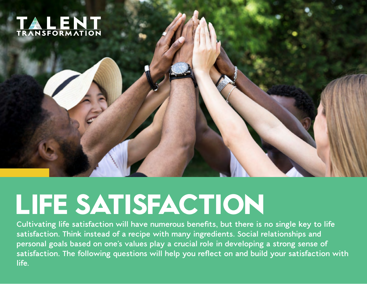

## **LIFE SATISFACTION**

Cultivating life satisfaction will have numerous benefits, but there is no single key to life **satisfaction. Think instead of a recipe with many ingredients. Social relationships and personal goals based on one's values play a crucial role in developing a strong sense of**  satisfaction. The following questions will help you reflect on and build your satisfaction with **life.**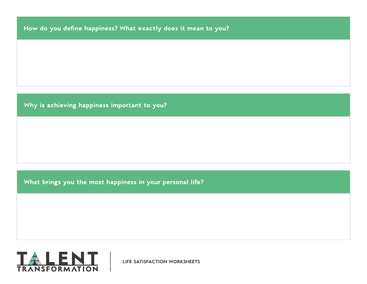**How do you define happiness? What exactly does it mean to you?** 

**Why is achieving happiness important to you?** 

**What brings you the most happiness in your personal life?** 

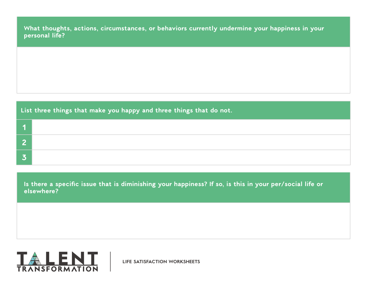**What thoughts, actions, circumstances, or behaviors currently undermine your happiness in your personal life?**

| List three things that make you happy and three things that do not. |  |  |
|---------------------------------------------------------------------|--|--|
|                                                                     |  |  |
|                                                                     |  |  |
|                                                                     |  |  |

**Is there a specific issue that is diminishing your happiness? If so, is this in your per/social life or elsewhere?** 

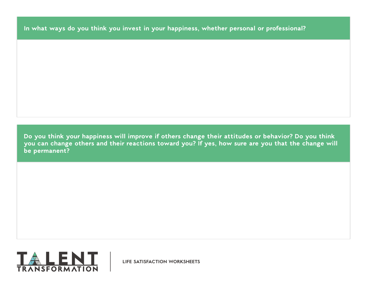**In what ways do you think you invest in your happiness, whether personal or professional?**

**Do you think your happiness will improve if others change their attitudes or behavior? Do you think you can change others and their reactions toward you? If yes, how sure are you that the change will be permanent?** 

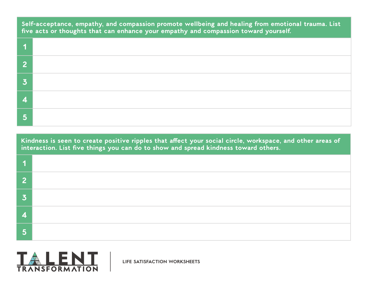**Self-acceptance, empathy, and compassion promote wellbeing and healing from emotional trauma. List five acts or thoughts that can enhance your empathy and compassion toward yourself.**

**Kindness is seen to create positive ripples that affect your social circle, workspace, and other areas of interaction. List five things you can do to show and spread kindness toward others.** 

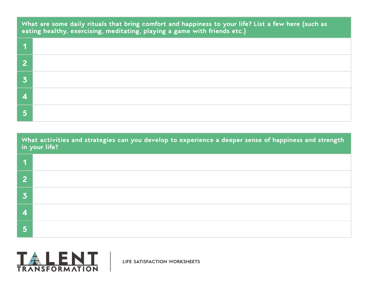**What are some daily rituals that bring comfort and happiness to your life? List a few here (such as eating healthy, exercising, meditating, playing a game with friends etc.)** 

| c. |  |
|----|--|
|    |  |
|    |  |
|    |  |

**What activities and strategies can you develop to experience a deeper sense of happiness and strength in your life?** 

| m |  |
|---|--|
|   |  |
|   |  |
|   |  |